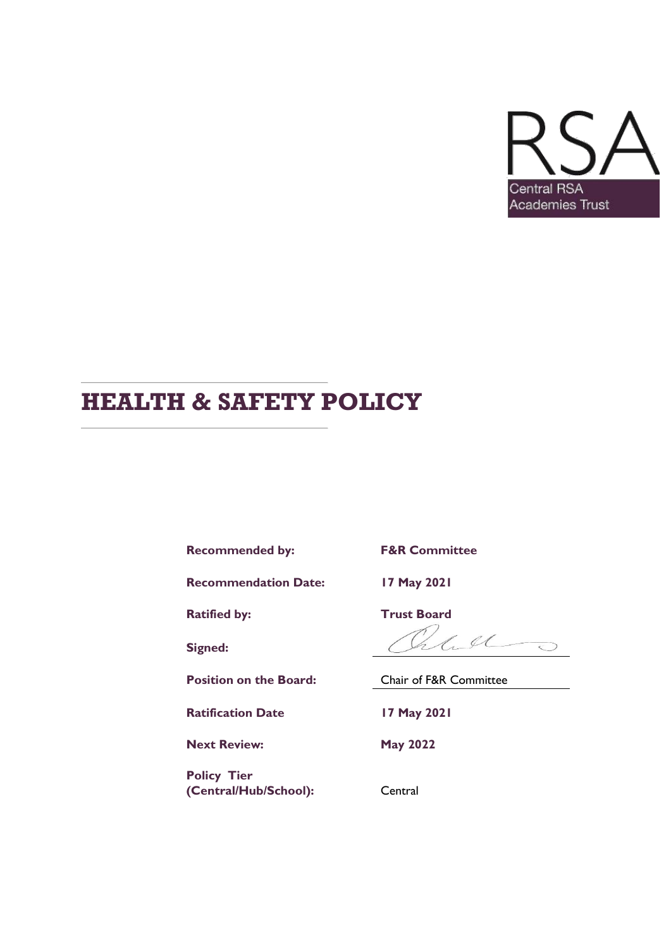

# **HEALTH & SAFETY POLICY**

**Recommended by: F&R Committee**

**Recommendation Date: 17 May 2021**

**Ratified by:** Trust Board

**Signed:**

**Ratification Date 17 May 2021**

**Next Review: May 2022**

**Policy Tier** (Central/Hub/School): Central

 $440$ 

**Position on the Board:** Chair of F&R Committee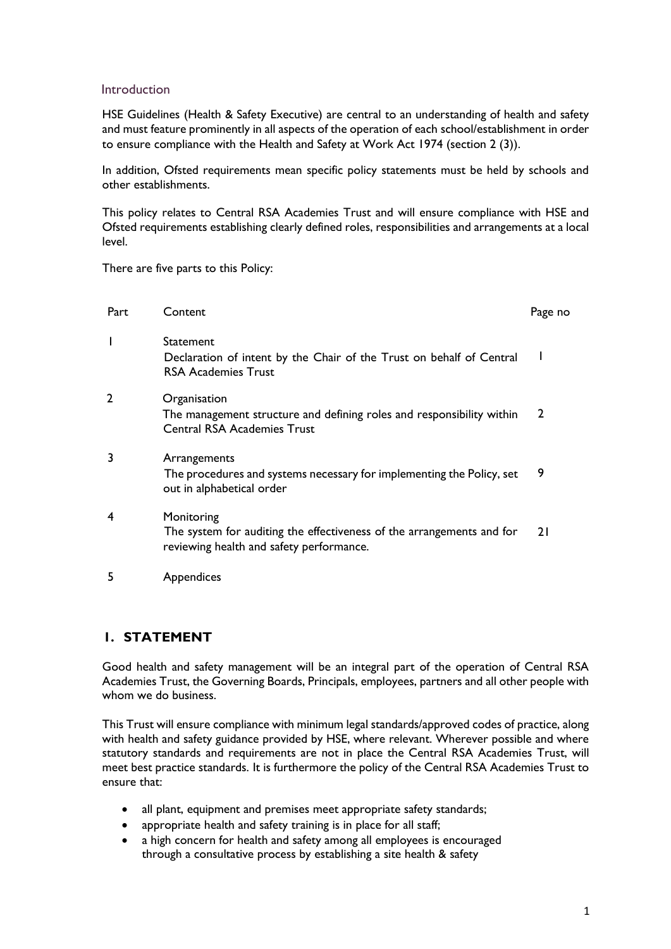### Introduction

HSE Guidelines (Health & Safety Executive) are central to an understanding of health and safety and must feature prominently in all aspects of the operation of each school/establishment in order to ensure compliance with the Health and Safety at Work Act 1974 (section 2 (3)).

In addition, Ofsted requirements mean specific policy statements must be held by schools and other establishments.

This policy relates to Central RSA Academies Trust and will ensure compliance with HSE and Ofsted requirements establishing clearly defined roles, responsibilities and arrangements at a local level.

There are five parts to this Policy:

| Part | Content                                                                                                                         | Page no      |
|------|---------------------------------------------------------------------------------------------------------------------------------|--------------|
|      | Statement<br>Declaration of intent by the Chair of the Trust on behalf of Central<br><b>RSA Academies Trust</b>                 |              |
| 2    | Organisation<br>The management structure and defining roles and responsibility within<br><b>Central RSA Academies Trust</b>     | $\mathbf{2}$ |
| 3    | Arrangements<br>The procedures and systems necessary for implementing the Policy, set<br>out in alphabetical order              | 9            |
| 4    | Monitoring<br>The system for auditing the effectiveness of the arrangements and for<br>reviewing health and safety performance. | 21           |

5 Appendices

# **1. STATEMENT**

Good health and safety management will be an integral part of the operation of Central RSA Academies Trust, the Governing Boards, Principals, employees, partners and all other people with whom we do business.

This Trust will ensure compliance with minimum legal standards/approved codes of practice, along with health and safety guidance provided by HSE, where relevant. Wherever possible and where statutory standards and requirements are not in place the Central RSA Academies Trust, will meet best practice standards. It is furthermore the policy of the Central RSA Academies Trust to ensure that:

- all plant, equipment and premises meet appropriate safety standards;
- appropriate health and safety training is in place for all staff;
- a high concern for health and safety among all employees is encouraged through a consultative process by establishing a site health & safety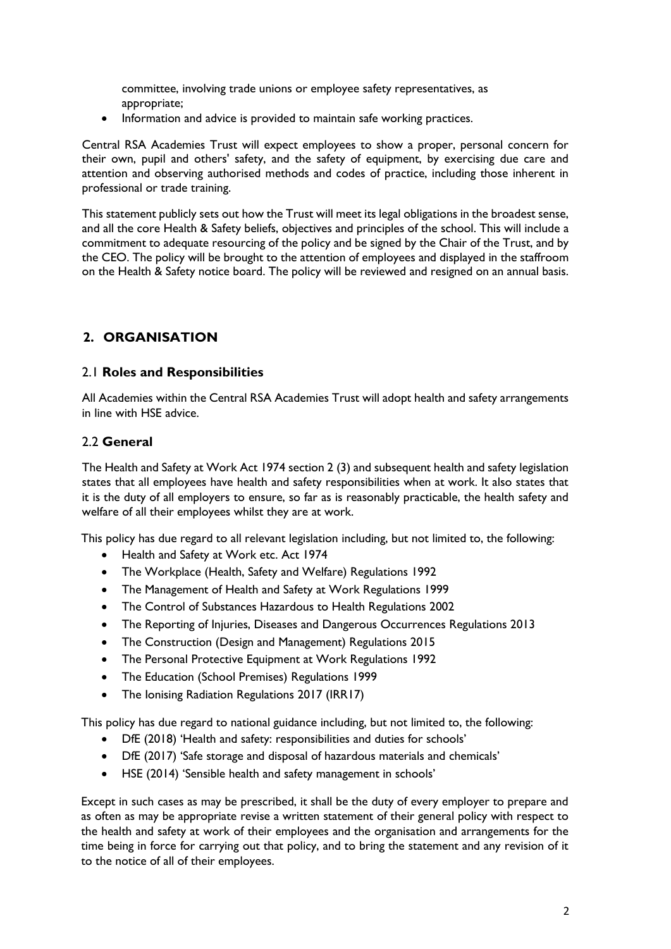committee, involving trade unions or employee safety representatives, as appropriate;

• Information and advice is provided to maintain safe working practices.

Central RSA Academies Trust will expect employees to show a proper, personal concern for their own, pupil and others' safety, and the safety of equipment, by exercising due care and attention and observing authorised methods and codes of practice, including those inherent in professional or trade training.

This statement publicly sets out how the Trust will meet its legal obligations in the broadest sense, and all the core Health & Safety beliefs, objectives and principles of the school. This will include a commitment to adequate resourcing of the policy and be signed by the Chair of the Trust, and by the CEO. The policy will be brought to the attention of employees and displayed in the staffroom on the Health & Safety notice board. The policy will be reviewed and resigned on an annual basis.

# **2. ORGANISATION**

# 2.1 **Roles and Responsibilities**

All Academies within the Central RSA Academies Trust will adopt health and safety arrangements in line with HSE advice.

# 2.2 **General**

The Health and Safety at Work Act 1974 section 2 (3) and subsequent health and safety legislation states that all employees have health and safety responsibilities when at work. It also states that it is the duty of all employers to ensure, so far as is reasonably practicable, the health safety and welfare of all their employees whilst they are at work.

This policy has due regard to all relevant legislation including, but not limited to, the following:

- Health and Safety at Work etc. Act 1974
- The Workplace (Health, Safety and Welfare) Regulations 1992
- The Management of Health and Safety at Work Regulations 1999
- The Control of Substances Hazardous to Health Regulations 2002
- The Reporting of Injuries, Diseases and Dangerous Occurrences Regulations 2013
- The Construction (Design and Management) Regulations 2015
- The Personal Protective Equipment at Work Regulations 1992
- The Education (School Premises) Regulations 1999
- The Ionising Radiation Regulations 2017 (IRR17)

This policy has due regard to national guidance including, but not limited to, the following:

- DfE (2018) 'Health and safety: responsibilities and duties for schools'
- DfE (2017) 'Safe storage and disposal of hazardous materials and chemicals'
- HSE (2014) 'Sensible health and safety management in schools'

Except in such cases as may be prescribed, it shall be the duty of every employer to prepare and as often as may be appropriate revise a written statement of their general policy with respect to the health and safety at work of their employees and the organisation and arrangements for the time being in force for carrying out that policy, and to bring the statement and any revision of it to the notice of all of their employees.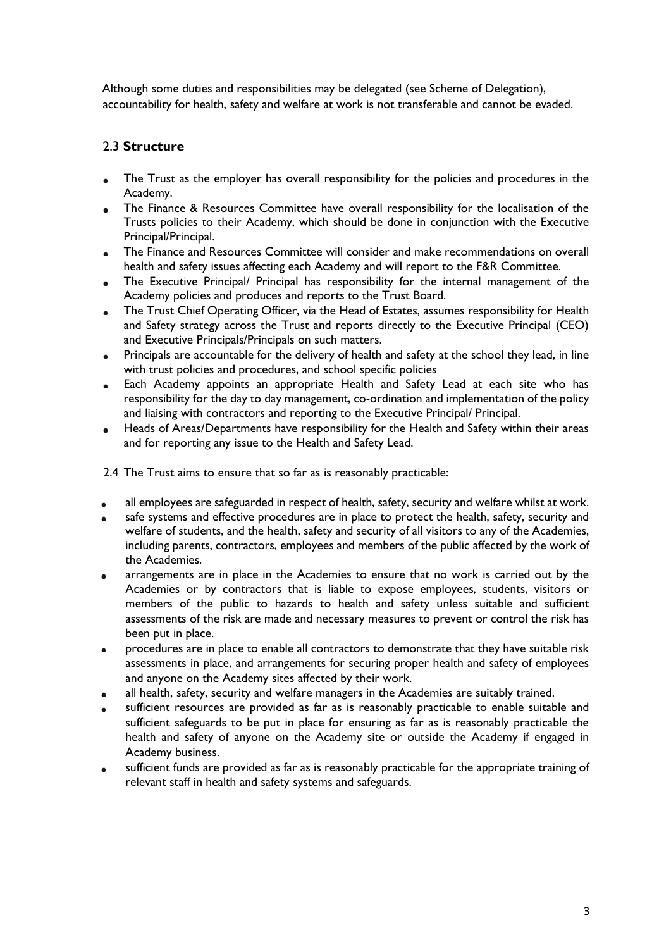Although some duties and responsibilities may be delegated (see Scheme of Delegation), accountability for health, safety and welfare at work is not transferable and cannot be evaded.

# 2.3 **Structure**

- The Trust as the employer has overall responsibility for the policies and procedures in the  $\bullet$ Academy.
- The Finance & Resources Committee have overall responsibility for the localisation of the  $\blacksquare$ Trusts policies to their Academy, which should be done in conjunction with the Executive Principal/Principal.
- The Finance and Resources Committee will consider and make recommendations on overall  $\bullet$ health and safety issues affecting each Academy and will report to the F&R Committee.
- The Executive Principal/ Principal has responsibility for the internal management of the  $\bullet$ Academy policies and produces and reports to the Trust Board.
- The Trust Chief Operating Officer, via the Head of Estates, assumes responsibility for Health  $\bullet$ and Safety strategy across the Trust and reports directly to the Executive Principal (CEO) and Executive Principals/Principals on such matters.
- Principals are accountable for the delivery of health and safety at the school they lead, in line  $\blacksquare$ with trust policies and procedures, and school specific policies
- Each Academy appoints an appropriate Health and Safety Lead at each site who has  $\bullet$ responsibility for the day to day management, co-ordination and implementation of the policy and liaising with contractors and reporting to the Executive Principal/ Principal.
- Heads of Areas/Departments have responsibility for the Health and Safety within their areas  $\bullet$ and for reporting any issue to the Health and Safety Lead.

2.4 The Trust aims to ensure that so far as is reasonably practicable:

- all employees are safeguarded in respect of health, safety, security and welfare whilst at work.  $\bullet$
- safe systems and effective procedures are in place to protect the health, safety, security and welfare of students, and the health, safety and security of all visitors to any of the Academies, including parents, contractors, employees and members of the public affected by the work of the Academies.
- arrangements are in place in the Academies to ensure that no work is carried out by the  $\bullet$ Academies or by contractors that is liable to expose employees, students, visitors or members of the public to hazards to health and safety unless suitable and sufficient assessments of the risk are made and necessary measures to prevent or control the risk has been put in place.
- procedures are in place to enable all contractors to demonstrate that they have suitable risk  $\bullet$ assessments in place, and arrangements for securing proper health and safety of employees and anyone on the Academy sites affected by their work.
- all health, safety, security and welfare managers in the Academies are suitably trained.
- sufficient resources are provided as far as is reasonably practicable to enable suitable and sufficient safeguards to be put in place for ensuring as far as is reasonably practicable the health and safety of anyone on the Academy site or outside the Academy if engaged in Academy business.
- sufficient funds are provided as far as is reasonably practicable for the appropriate training of relevant staff in health and safety systems and safeguards.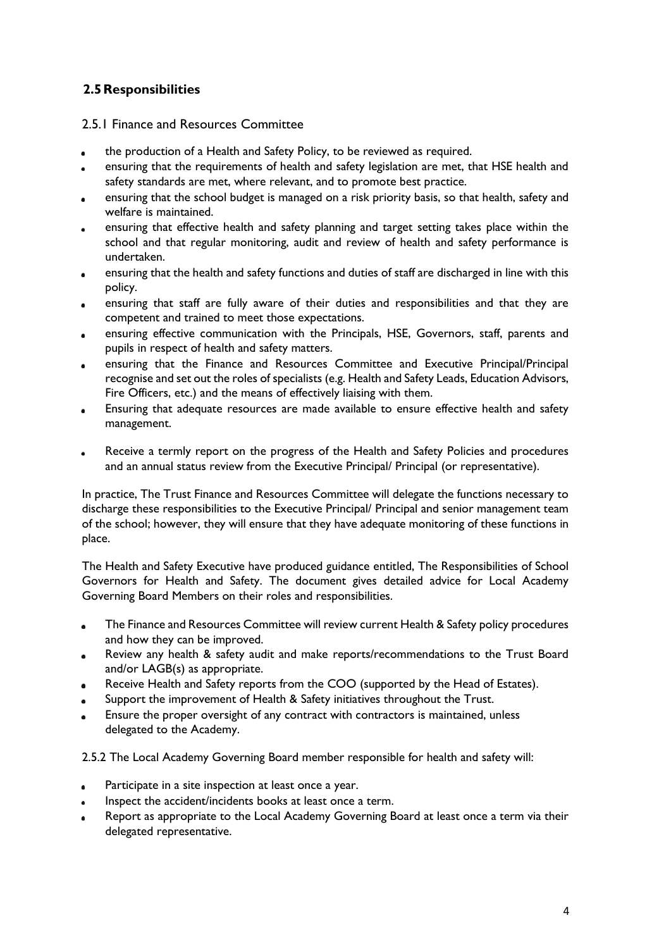# **2.5Responsibilities**

# 2.5.1 Finance and Resources Committee

- the production of a Health and Safety Policy, to be reviewed as required.
- ensuring that the requirements of health and safety legislation are met, that HSE health and safety standards are met, where relevant, and to promote best practice.
- ensuring that the school budget is managed on a risk priority basis, so that health, safety and welfare is maintained.
- ensuring that effective health and safety planning and target setting takes place within the school and that regular monitoring, audit and review of health and safety performance is undertaken.
- ensuring that the health and safety functions and duties of staff are discharged in line with this policy.
- ensuring that staff are fully aware of their duties and responsibilities and that they are  $\bullet$ competent and trained to meet those expectations.
- ensuring effective communication with the Principals, HSE, Governors, staff, parents and pupils in respect of health and safety matters.
- ensuring that the Finance and Resources Committee and Executive Principal/Principal recognise and set out the roles of specialists (e.g. Health and Safety Leads, Education Advisors, Fire Officers, etc.) and the means of effectively liaising with them.
- Ensuring that adequate resources are made available to ensure effective health and safety management.
- Receive a termly report on the progress of the Health and Safety Policies and procedures and an annual status review from the Executive Principal/ Principal (or representative).

In practice, The Trust Finance and Resources Committee will delegate the functions necessary to discharge these responsibilities to the Executive Principal/ Principal and senior management team of the school; however, they will ensure that they have adequate monitoring of these functions in place.

The Health and Safety Executive have produced guidance entitled, The Responsibilities of School Governors for Health and Safety. The document gives detailed advice for Local Academy Governing Board Members on their roles and responsibilities.

- The Finance and Resources Committee will review current Health & Safety policy procedures and how they can be improved.
- Review any health & safety audit and make reports/recommendations to the Trust Board  $\bullet$ and/or LAGB(s) as appropriate.
- Receive Health and Safety reports from the COO (supported by the Head of Estates).
- Support the improvement of Health & Safety initiatives throughout the Trust.
- Ensure the proper oversight of any contract with contractors is maintained, unless delegated to the Academy.

2.5.2 The Local Academy Governing Board member responsible for health and safety will:

- Participate in a site inspection at least once a year.  $\bullet$
- Inspect the accident/incidents books at least once a term.  $\bullet$
- Report as appropriate to the Local Academy Governing Board at least once a term via their delegated representative.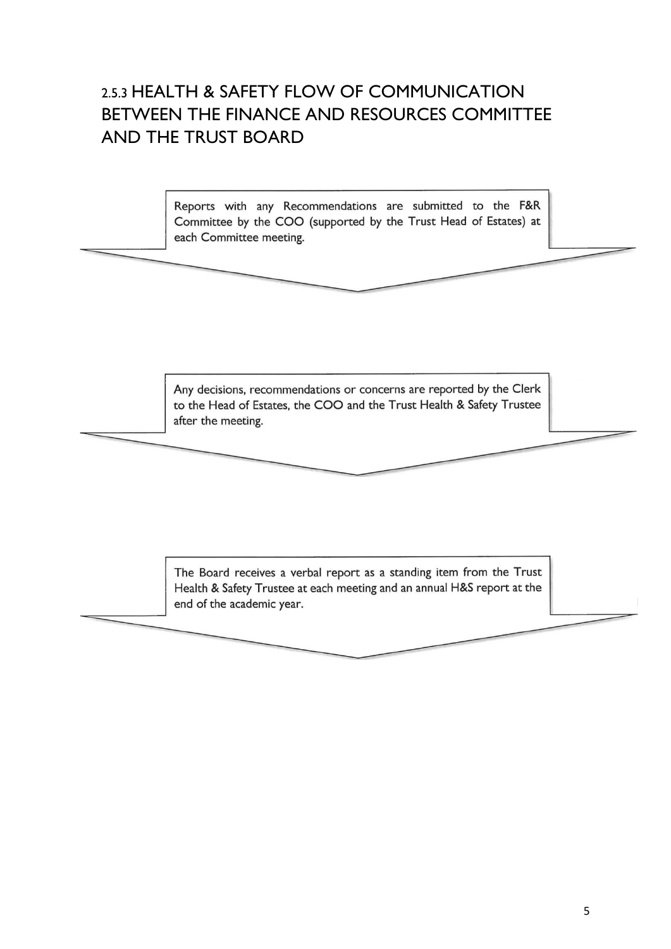# 2.5.3 HEALTH & SAFETY FLOW OF COMMUNICATION BETWEEN THE FINANCE AND RESOURCES COMMITTEE AND THE TRUST BOARD

Reports with any Recommendations are submitted to the F&R Committee by the COO (supported by the Trust Head of Estates) at each Committee meeting.

Any decisions, recommendations or concerns are reported by the Clerk to the Head of Estates, the COO and the Trust Health & Safety Trustee after the meeting.

The Board receives a verbal report as a standing item from the Trust Health & Safety Trustee at each meeting and an annual H&S report at the end of the academic year.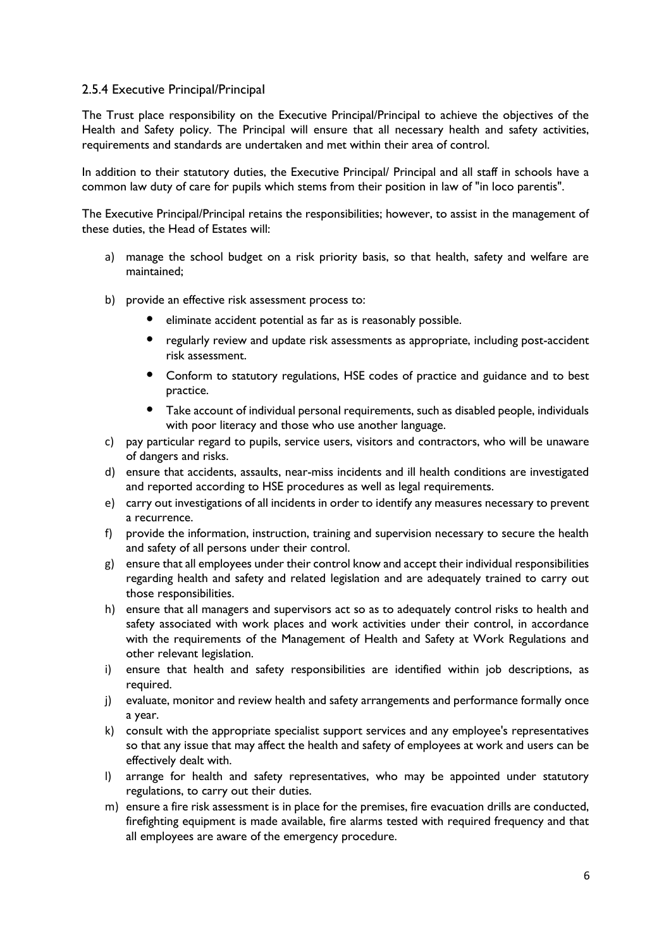# 2.5.4 Executive Principal/PrincipaI

The Trust place responsibility on the Executive Principal/Principal to achieve the objectives of the Health and Safety policy. The Principal will ensure that all necessary health and safety activities, requirements and standards are undertaken and met within their area of control.

In addition to their statutory duties, the Executive Principal/ Principal and all staff in schools have a common law duty of care for pupils which stems from their position in law of "in loco parentis".

The Executive Principal/Principal retains the responsibilities; however, to assist in the management of these duties, the Head of Estates will:

- a) manage the school budget on a risk priority basis, so that health, safety and welfare are maintained;
- b) provide an effective risk assessment process to:
	- eliminate accident potential as far as is reasonably possible.
	- regularly review and update risk assessments as appropriate, including post-accident risk assessment.
	- Conform to statutory regulations, HSE codes of practice and guidance and to best practice.
	- Take account of individual personal requirements, such as disabled people, individuals with poor literacy and those who use another language.
- c) pay particular regard to pupils, service users, visitors and contractors, who will be unaware of dangers and risks.
- d) ensure that accidents, assaults, near-miss incidents and ill health conditions are investigated and reported according to HSE procedures as well as legal requirements.
- e) carry out investigations of all incidents in order to identify any measures necessary to prevent a recurrence.
- f) provide the information, instruction, training and supervision necessary to secure the health and safety of all persons under their control.
- g) ensure that all employees under their control know and accept their individual responsibilities regarding health and safety and related legislation and are adequately trained to carry out those responsibilities.
- h) ensure that all managers and supervisors act so as to adequately control risks to health and safety associated with work places and work activities under their control, in accordance with the requirements of the Management of Health and Safety at Work Regulations and other relevant legislation.
- i) ensure that health and safety responsibilities are identified within job descriptions, as required.
- j) evaluate, monitor and review health and safety arrangements and performance formally once a year.
- k) consult with the appropriate specialist support services and any employee's representatives so that any issue that may affect the health and safety of employees at work and users can be effectively dealt with.
- l) arrange for health and safety representatives, who may be appointed under statutory regulations, to carry out their duties.
- m) ensure a fire risk assessment is in place for the premises, fire evacuation drills are conducted, firefighting equipment is made available, fire alarms tested with required frequency and that all employees are aware of the emergency procedure.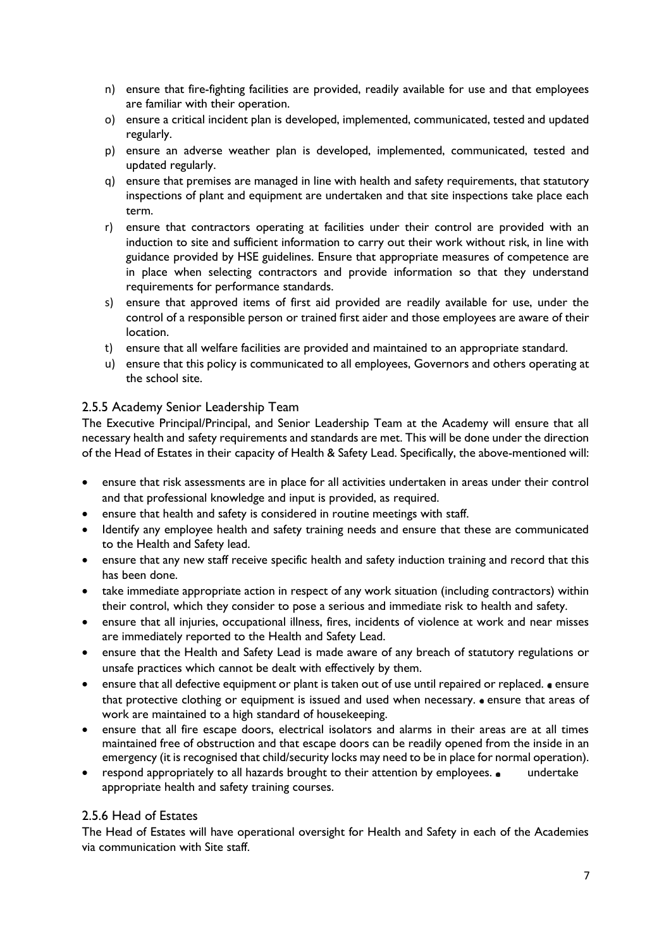- n) ensure that fire-fighting facilities are provided, readily available for use and that employees are familiar with their operation.
- o) ensure a critical incident plan is developed, implemented, communicated, tested and updated regularly.
- p) ensure an adverse weather plan is developed, implemented, communicated, tested and updated regularly.
- q) ensure that premises are managed in line with health and safety requirements, that statutory inspections of plant and equipment are undertaken and that site inspections take place each term.
- r) ensure that contractors operating at facilities under their control are provided with an induction to site and sufficient information to carry out their work without risk, in line with guidance provided by HSE guidelines. Ensure that appropriate measures of competence are in place when selecting contractors and provide information so that they understand requirements for performance standards.
- s) ensure that approved items of first aid provided are readily available for use, under the control of a responsible person or trained first aider and those employees are aware of their location.
- t) ensure that all welfare facilities are provided and maintained to an appropriate standard.
- u) ensure that this policy is communicated to all employees, Governors and others operating at the school site.

# 2.5.5 Academy Senior Leadership Team

The Executive Principal/Principal, and Senior Leadership Team at the Academy will ensure that all necessary health and safety requirements and standards are met. This will be done under the direction of the Head of Estates in their capacity of Health & Safety Lead. Specifically, the above-mentioned will:

- ensure that risk assessments are in place for all activities undertaken in areas under their control and that professional knowledge and input is provided, as required.
- ensure that health and safety is considered in routine meetings with staff.
- Identify any employee health and safety training needs and ensure that these are communicated to the Health and Safety lead.
- ensure that any new staff receive specific health and safety induction training and record that this has been done.
- take immediate appropriate action in respect of any work situation (including contractors) within their control, which they consider to pose a serious and immediate risk to health and safety.
- ensure that all injuries, occupational illness, fires, incidents of violence at work and near misses are immediately reported to the Health and Safety Lead.
- ensure that the Health and Safety Lead is made aware of any breach of statutory regulations or unsafe practices which cannot be dealt with effectively by them.
- ensure that all defective equipment or plant is taken out of use until repaired or replaced. ensure that protective clothing or equipment is issued and used when necessary. • ensure that areas of work are maintained to a high standard of housekeeping.
- ensure that all fire escape doors, electrical isolators and alarms in their areas are at all times maintained free of obstruction and that escape doors can be readily opened from the inside in an emergency (it is recognised that child/security locks may need to be in place for normal operation).
- respond appropriately to all hazards brought to their attention by employees. undertake appropriate health and safety training courses.

# 2.5.6 Head of Estates

The Head of Estates will have operational oversight for Health and Safety in each of the Academies via communication with Site staff.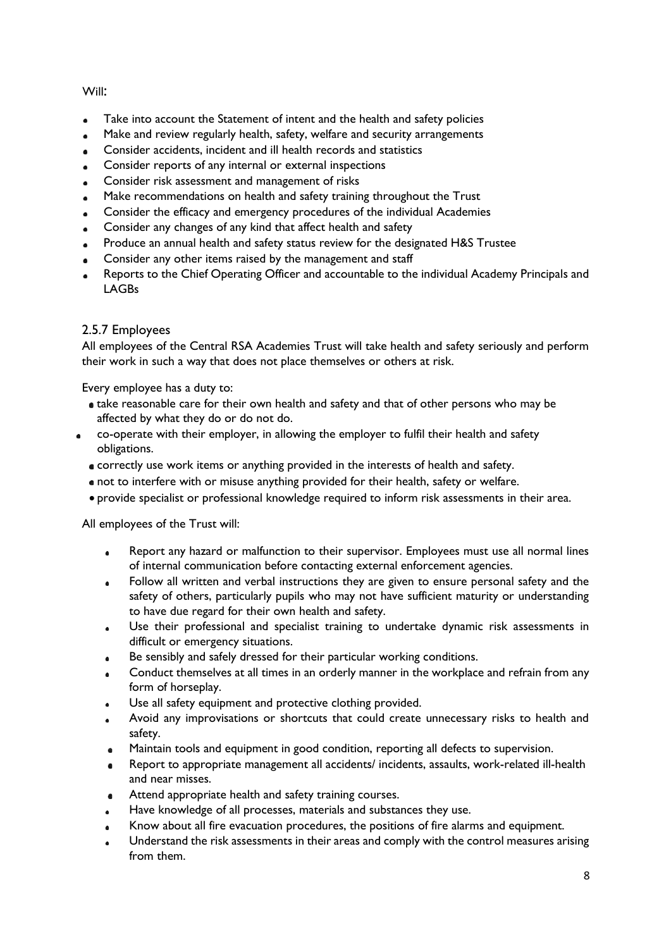Will:

- Take into account the Statement of intent and the health and safety policies
- Make and review regularly health, safety, welfare and security arrangements
- Consider accidents, incident and ill health records and statistics
- Consider reports of any internal or external inspections
- Consider risk assessment and management of risks
- Make recommendations on health and safety training throughout the Trust  $\bullet$
- Consider the efficacy and emergency procedures of the individual Academies
- Consider any changes of any kind that affect health and safety
- Produce an annual health and safety status review for the designated H&S Trustee
- Consider any other items raised by the management and staff
- Reports to the Chief Operating Officer and accountable to the individual Academy Principals and LAGBs

# 2.5.7 Employees

All employees of the Central RSA Academies Trust will take health and safety seriously and perform their work in such a way that does not place themselves or others at risk.

Every employee has a duty to:

- take reasonable care for their own health and safety and that of other persons who may be affected by what they do or do not do.
- co-operate with their employer, in allowing the employer to fulfil their health and safety obligations.
	- correctly use work items or anything provided in the interests of health and safety.
	- not to interfere with or misuse anything provided for their health, safety or welfare.
	- provide specialist or professional knowledge required to inform risk assessments in their area.

All employees of the Trust will:

- Report any hazard or malfunction to their supervisor. Employees must use all normal lines of internal communication before contacting external enforcement agencies.
- Follow all written and verbal instructions they are given to ensure personal safety and the safety of others, particularly pupils who may not have sufficient maturity or understanding to have due regard for their own health and safety.
- Use their professional and specialist training to undertake dynamic risk assessments in  $\bullet$ difficult or emergency situations.
- Be sensibly and safely dressed for their particular working conditions.
- Conduct themselves at all times in an orderly manner in the workplace and refrain from any form of horseplay.
- Use all safety equipment and protective clothing provided.
- Avoid any improvisations or shortcuts that could create unnecessary risks to health and safety.
- Maintain tools and equipment in good condition, reporting all defects to supervision.
- Report to appropriate management all accidents/ incidents, assaults, work-related ill-health and near misses.
- Attend appropriate health and safety training courses.  $\bullet$
- Have knowledge of all processes, materials and substances they use.
- Know about all fire evacuation procedures, the positions of fire alarms and equipment.
- Understand the risk assessments in their areas and comply with the control measures arising from them.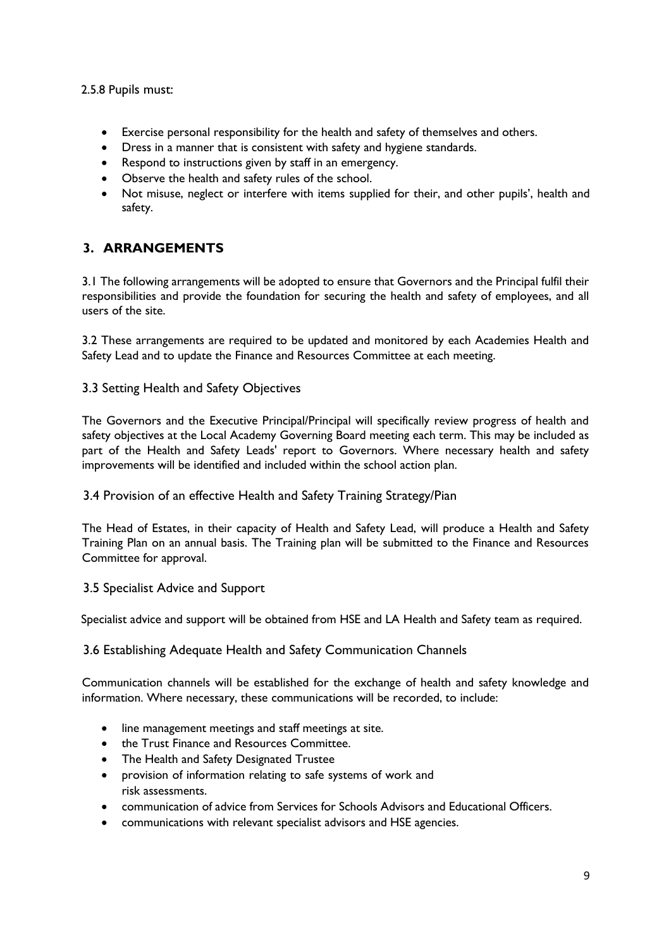# 2.5.8 Pupils must:

- Exercise personal responsibility for the health and safety of themselves and others.
- Dress in a manner that is consistent with safety and hygiene standards.
- Respond to instructions given by staff in an emergency.
- Observe the health and safety rules of the school.
- Not misuse, neglect or interfere with items supplied for their, and other pupils', health and safety.

# **3. ARRANGEMENTS**

3.1 The following arrangements will be adopted to ensure that Governors and the Principal fulfil their responsibilities and provide the foundation for securing the health and safety of employees, and all users of the site.

3.2 These arrangements are required to be updated and monitored by each Academies Health and Safety Lead and to update the Finance and Resources Committee at each meeting.

# 3.3 Setting Health and Safety Objectives

The Governors and the Executive Principal/Principal will specifically review progress of health and safety objectives at the Local Academy Governing Board meeting each term. This may be included as part of the Health and Safety Leads' report to Governors. Where necessary health and safety improvements will be identified and included within the school action plan.

# 3.4 Provision of an effective Health and Safety Training Strategy/Pian

The Head of Estates, in their capacity of Health and Safety Lead, will produce a Health and Safety Training Plan on an annual basis. The Training plan will be submitted to the Finance and Resources Committee for approval.

# 3.5 Specialist Advice and Support

Specialist advice and support will be obtained from HSE and LA Health and Safety team as required.

# 3.6 Establishing Adequate Health and Safety Communication Channels

Communication channels will be established for the exchange of health and safety knowledge and information. Where necessary, these communications will be recorded, to include:

- line management meetings and staff meetings at site.
- the Trust Finance and Resources Committee.
- The Health and Safety Designated Trustee
- provision of information relating to safe systems of work and risk assessments.
- communication of advice from Services for Schools Advisors and Educational Officers.
- communications with relevant specialist advisors and HSE agencies.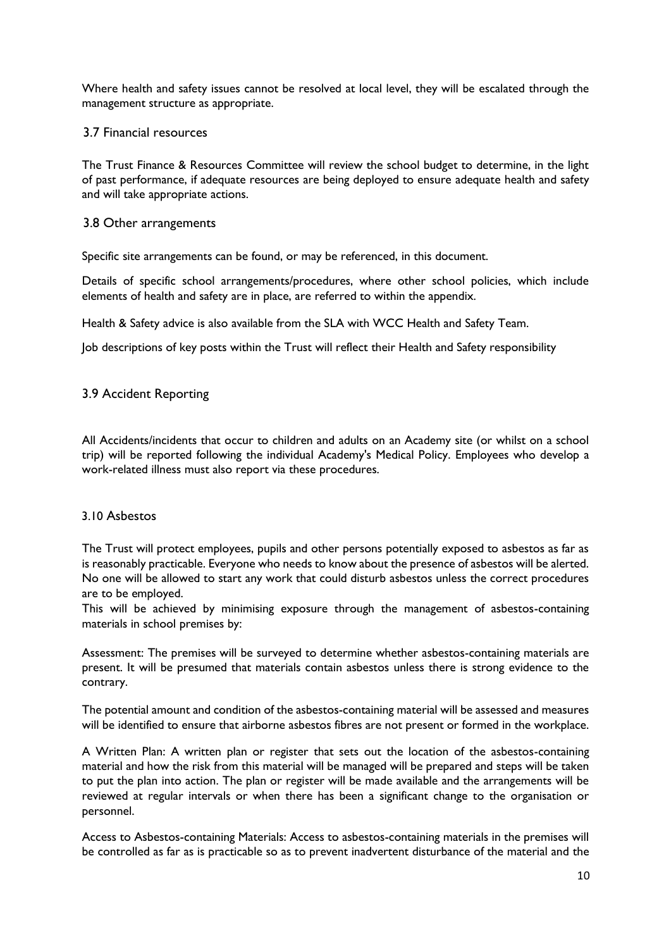Where health and safety issues cannot be resolved at local level, they will be escalated through the management structure as appropriate.

### 3.7 Financial resources

The Trust Finance & Resources Committee will review the school budget to determine, in the light of past performance, if adequate resources are being deployed to ensure adequate health and safety and will take appropriate actions.

#### 3.8 Other arrangements

Specific site arrangements can be found, or may be referenced, in this document.

Details of specific school arrangements/procedures, where other school policies, which include elements of health and safety are in place, are referred to within the appendix.

Health & Safety advice is also available from the SLA with WCC Health and Safety Team.

Job descriptions of key posts within the Trust will reflect their Health and Safety responsibility

### 3.9 Accident Reporting

All Accidents/incidents that occur to children and adults on an Academy site (or whilst on a school trip) will be reported following the individual Academy's Medical Policy. Employees who develop a work-related illness must also report via these procedures.

#### 3.10 Asbestos

The Trust will protect employees, pupils and other persons potentially exposed to asbestos as far as is reasonably practicable. Everyone who needs to know about the presence of asbestos will be alerted. No one will be allowed to start any work that could disturb asbestos unless the correct procedures are to be employed.

This will be achieved by minimising exposure through the management of asbestos-containing materials in school premises by:

Assessment: The premises will be surveyed to determine whether asbestos-containing materials are present. It will be presumed that materials contain asbestos unless there is strong evidence to the contrary.

The potential amount and condition of the asbestos-containing material will be assessed and measures will be identified to ensure that airborne asbestos fibres are not present or formed in the workplace.

A Written Plan: A written plan or register that sets out the location of the asbestos-containing material and how the risk from this material will be managed will be prepared and steps will be taken to put the plan into action. The plan or register will be made available and the arrangements will be reviewed at regular intervals or when there has been a significant change to the organisation or personnel.

Access to Asbestos-containing Materials: Access to asbestos-containing materials in the premises will be controlled as far as is practicable so as to prevent inadvertent disturbance of the material and the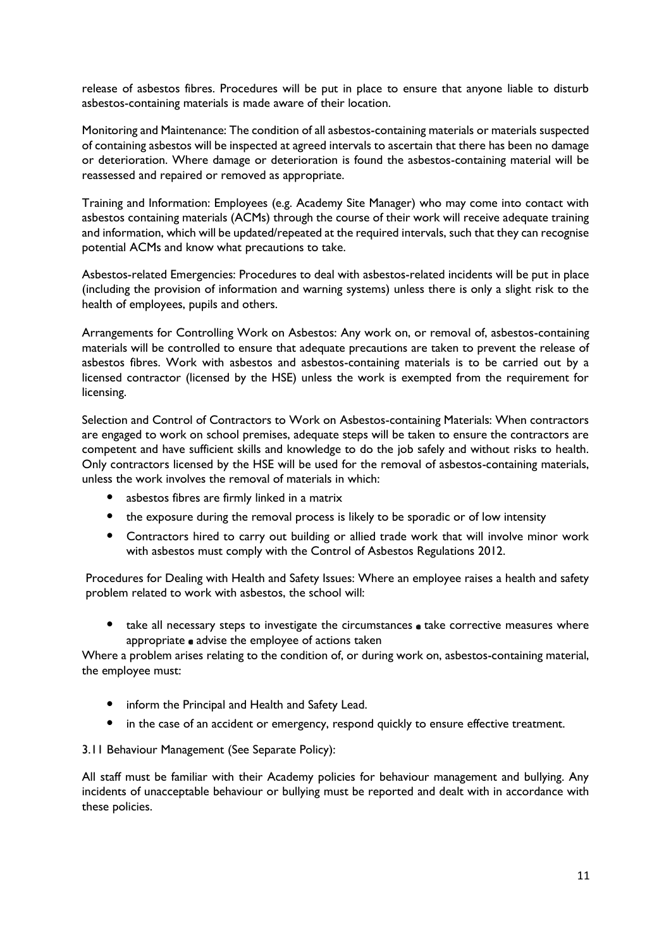release of asbestos fibres. Procedures will be put in place to ensure that anyone liable to disturb asbestos-containing materials is made aware of their location.

Monitoring and Maintenance: The condition of all asbestos-containing materials or materials suspected of containing asbestos will be inspected at agreed intervals to ascertain that there has been no damage or deterioration. Where damage or deterioration is found the asbestos-containing material will be reassessed and repaired or removed as appropriate.

Training and Information: Employees (e.g. Academy Site Manager) who may come into contact with asbestos containing materials (ACMs) through the course of their work will receive adequate training and information, which will be updated/repeated at the required intervals, such that they can recognise potential ACMs and know what precautions to take.

Asbestos-related Emergencies: Procedures to deal with asbestos-related incidents will be put in place (including the provision of information and warning systems) unless there is only a slight risk to the health of employees, pupils and others.

Arrangements for Controlling Work on Asbestos: Any work on, or removal of, asbestos-containing materials will be controlled to ensure that adequate precautions are taken to prevent the release of asbestos fibres. Work with asbestos and asbestos-containing materials is to be carried out by a licensed contractor (licensed by the HSE) unless the work is exempted from the requirement for licensing.

Selection and Control of Contractors to Work on Asbestos-containing Materials: When contractors are engaged to work on school premises, adequate steps will be taken to ensure the contractors are competent and have sufficient skills and knowledge to do the job safely and without risks to health. Only contractors licensed by the HSE will be used for the removal of asbestos-containing materials, unless the work involves the removal of materials in which:

- asbestos fibres are firmly linked in a matrix
- the exposure during the removal process is likely to be sporadic or of low intensity
- Contractors hired to carry out building or allied trade work that will involve minor work with asbestos must comply with the Control of Asbestos Regulations 2012.

Procedures for Dealing with Health and Safety Issues: Where an employee raises a health and safety problem related to work with asbestos, the school will:

• take all necessary steps to investigate the circumstances  $\bullet$  take corrective measures where appropriate advise the employee of actions taken

Where a problem arises relating to the condition of, or during work on, asbestos-containing material, the employee must:

- inform the Principal and Health and Safety Lead.
- in the case of an accident or emergency, respond quickly to ensure effective treatment.

3.11 Behaviour Management (See Separate Policy):

All staff must be familiar with their Academy policies for behaviour management and bullying. Any incidents of unacceptable behaviour or bullying must be reported and dealt with in accordance with these policies.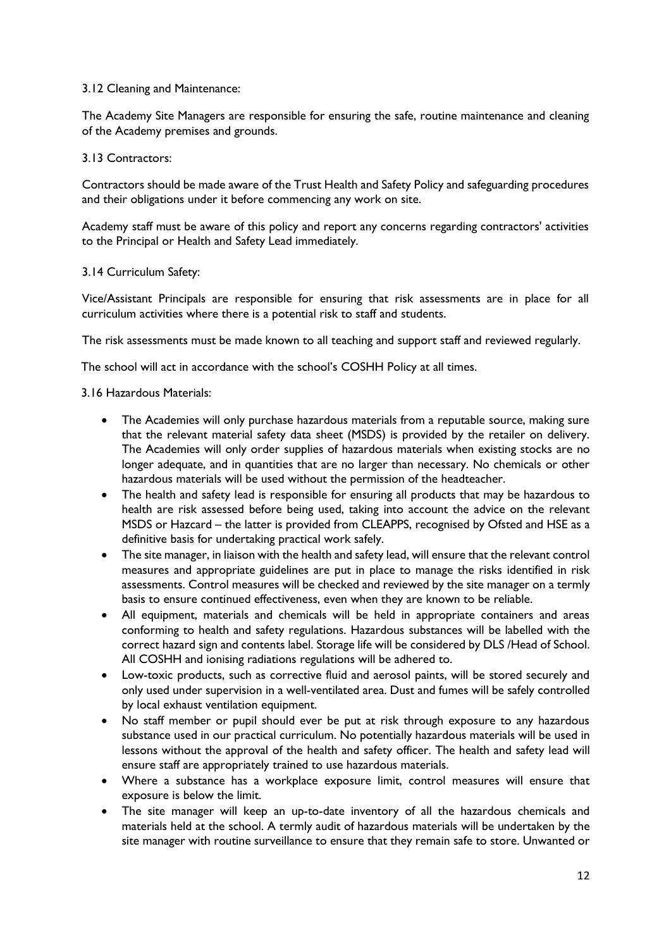#### 3.12 Cleaning and Maintenance:

The Academy Site Managers are responsible for ensuring the safe, routine maintenance and cleaning of the Academy premises and grounds.

### 3.13 Contractors:

Contractors should be made aware of the Trust Health and Safety Policy and safeguarding procedures and their obligations under it before commencing any work on site.

Academy staff must be aware of this policy and report any concerns regarding contractors' activities to the Principal or Health and Safety Lead immediately.

### 3.14 Curriculum Safety:

Vice/Assistant Principals are responsible for ensuring that risk assessments are in place for all curriculum activities where there is a potential risk to staff and students.

The risk assessments must be made known to all teaching and support staff and reviewed regularly.

The school will act in accordance with the school's COSHH Policy at all times.

### 3.16 Hazardous Materials:

- The Academies will only purchase hazardous materials from a reputable source, making sure that the relevant material safety data sheet (MSDS) is provided by the retailer on delivery. The Academies will only order supplies of hazardous materials when existing stocks are no longer adequate, and in quantities that are no larger than necessary. No chemicals or other hazardous materials will be used without the permission of the headteacher.
- The health and safety lead is responsible for ensuring all products that may be hazardous to health are risk assessed before being used, taking into account the advice on the relevant MSDS or Hazcard – the latter is provided from CLEAPPS, recognised by Ofsted and HSE as a definitive basis for undertaking practical work safely.
- The site manager, in liaison with the health and safety lead, will ensure that the relevant control measures and appropriate guidelines are put in place to manage the risks identified in risk assessments. Control measures will be checked and reviewed by the site manager on a termly basis to ensure continued effectiveness, even when they are known to be reliable.
- All equipment, materials and chemicals will be held in appropriate containers and areas conforming to health and safety regulations. Hazardous substances will be labelled with the correct hazard sign and contents label. Storage life will be considered by DLS /Head of School. All COSHH and ionising radiations regulations will be adhered to.
- Low-toxic products, such as corrective fluid and aerosol paints, will be stored securely and only used under supervision in a well-ventilated area. Dust and fumes will be safely controlled by local exhaust ventilation equipment.
- No staff member or pupil should ever be put at risk through exposure to any hazardous substance used in our practical curriculum. No potentially hazardous materials will be used in lessons without the approval of the health and safety officer. The health and safety lead will ensure staff are appropriately trained to use hazardous materials.
- Where a substance has a workplace exposure limit, control measures will ensure that exposure is below the limit.
- The site manager will keep an up-to-date inventory of all the hazardous chemicals and materials held at the school. A termly audit of hazardous materials will be undertaken by the site manager with routine surveillance to ensure that they remain safe to store. Unwanted or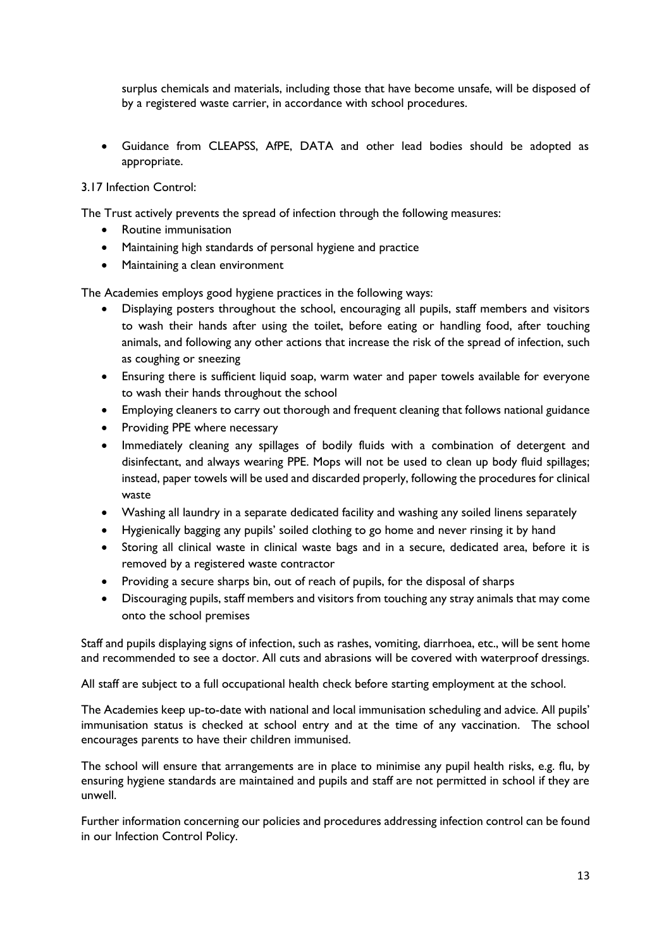surplus chemicals and materials, including those that have become unsafe, will be disposed of by a registered waste carrier, in accordance with school procedures.

• Guidance from CLEAPSS, AfPE, DATA and other lead bodies should be adopted as appropriate.

### 3.17 Infection Control:

The Trust actively prevents the spread of infection through the following measures:

- Routine immunisation
- Maintaining high standards of personal hygiene and practice
- Maintaining a clean environment

The Academies employs good hygiene practices in the following ways:

- Displaying posters throughout the school, encouraging all pupils, staff members and visitors to wash their hands after using the toilet, before eating or handling food, after touching animals, and following any other actions that increase the risk of the spread of infection, such as coughing or sneezing
- Ensuring there is sufficient liquid soap, warm water and paper towels available for everyone to wash their hands throughout the school
- Employing cleaners to carry out thorough and frequent cleaning that follows national guidance
- Providing PPE where necessary
- Immediately cleaning any spillages of bodily fluids with a combination of detergent and disinfectant, and always wearing PPE. Mops will not be used to clean up body fluid spillages; instead, paper towels will be used and discarded properly, following the procedures for clinical waste
- Washing all laundry in a separate dedicated facility and washing any soiled linens separately
- Hygienically bagging any pupils' soiled clothing to go home and never rinsing it by hand
- Storing all clinical waste in clinical waste bags and in a secure, dedicated area, before it is removed by a registered waste contractor
- Providing a secure sharps bin, out of reach of pupils, for the disposal of sharps
- Discouraging pupils, staff members and visitors from touching any stray animals that may come onto the school premises

Staff and pupils displaying signs of infection, such as rashes, vomiting, diarrhoea, etc., will be sent home and recommended to see a doctor. All cuts and abrasions will be covered with waterproof dressings.

All staff are subject to a full occupational health check before starting employment at the school.

The Academies keep up-to-date with national and local immunisation scheduling and advice. All pupils' immunisation status is checked at school entry and at the time of any vaccination. The school encourages parents to have their children immunised.

The school will ensure that arrangements are in place to minimise any pupil health risks, e.g. flu, by ensuring hygiene standards are maintained and pupils and staff are not permitted in school if they are unwell.

Further information concerning our policies and procedures addressing infection control can be found in our Infection Control Policy.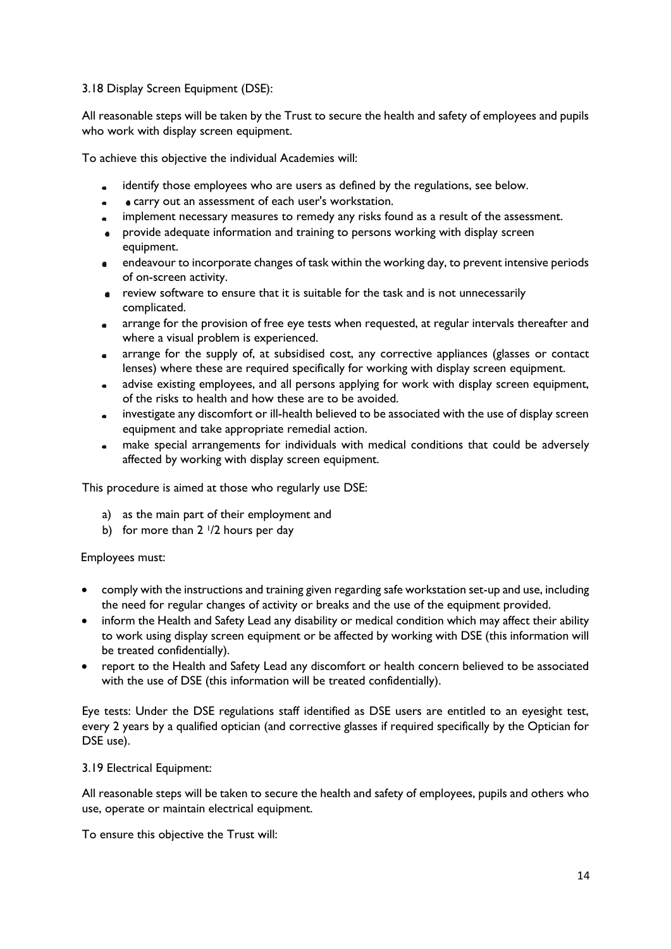# 3.18 Display Screen Equipment (DSE):

All reasonable steps will be taken by the Trust to secure the health and safety of employees and pupils who work with display screen equipment.

To achieve this objective the individual Academies will:

- identify those employees who are users as defined by the regulations, see below.  $\sim$
- carry out an assessment of each user's workstation.
- implement necessary measures to remedy any risks found as a result of the assessment.
- provide adequate information and training to persons working with display screen equipment.
- $\bullet$ endeavour to incorporate changes of task within the working day, to prevent intensive periods of on-screen activity.
- review software to ensure that it is suitable for the task and is not unnecessarily complicated.
- arrange for the provision of free eye tests when requested, at regular intervals thereafter and  $\bullet$ where a visual problem is experienced.
- arrange for the supply of, at subsidised cost, any corrective appliances (glasses or contact  $\blacksquare$ lenses) where these are required specifically for working with display screen equipment.
- advise existing employees, and all persons applying for work with display screen equipment, of the risks to health and how these are to be avoided.
- investigate any discomfort or ill-health believed to be associated with the use of display screen  $\bullet$ equipment and take appropriate remedial action.
- make special arrangements for individuals with medical conditions that could be adversely affected by working with display screen equipment.

This procedure is aimed at those who regularly use DSE:

- a) as the main part of their employment and
- b) for more than  $2 \frac{1}{2}$  hours per day

Employees must:

- comply with the instructions and training given regarding safe workstation set-up and use, including the need for regular changes of activity or breaks and the use of the equipment provided.
- inform the Health and Safety Lead any disability or medical condition which may affect their ability to work using display screen equipment or be affected by working with DSE (this information will be treated confidentially).
- report to the Health and Safety Lead any discomfort or health concern believed to be associated with the use of DSE (this information will be treated confidentially).

Eye tests: Under the DSE regulations staff identified as DSE users are entitled to an eyesight test, every 2 years by a qualified optician (and corrective glasses if required specifically by the Optician for DSE use).

3.19 Electrical Equipment:

All reasonable steps will be taken to secure the health and safety of employees, pupils and others who use, operate or maintain electrical equipment.

To ensure this objective the Trust will: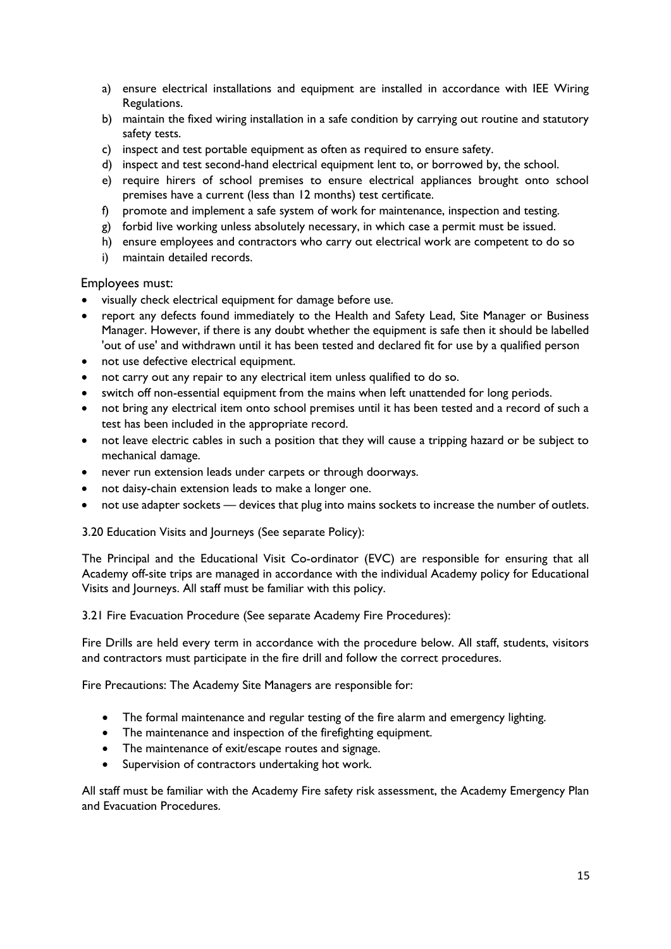- a) ensure electrical installations and equipment are installed in accordance with IEE Wiring Regulations.
- b) maintain the fixed wiring installation in a safe condition by carrying out routine and statutory safety tests.
- c) inspect and test portable equipment as often as required to ensure safety.
- d) inspect and test second-hand electrical equipment lent to, or borrowed by, the school.
- e) require hirers of school premises to ensure electrical appliances brought onto school premises have a current (less than 12 months) test certificate.
- f) promote and implement a safe system of work for maintenance, inspection and testing.
- g) forbid live working unless absolutely necessary, in which case a permit must be issued.
- h) ensure employees and contractors who carry out electrical work are competent to do so
- i) maintain detailed records.

Employees must:

- visually check electrical equipment for damage before use.
- report any defects found immediately to the Health and Safety Lead, Site Manager or Business Manager. However, if there is any doubt whether the equipment is safe then it should be labelled 'out of use' and withdrawn until it has been tested and declared fit for use by a qualified person
- not use defective electrical equipment.
- not carry out any repair to any electrical item unless qualified to do so.
- switch off non-essential equipment from the mains when left unattended for long periods.
- not bring any electrical item onto school premises until it has been tested and a record of such a test has been included in the appropriate record.
- not leave electric cables in such a position that they will cause a tripping hazard or be subject to mechanical damage.
- never run extension leads under carpets or through doorways.
- not daisy-chain extension leads to make a longer one.
- not use adapter sockets devices that plug into mains sockets to increase the number of outlets.

3.20 Education Visits and Journeys (See separate Policy):

The Principal and the Educational Visit Co-ordinator (EVC) are responsible for ensuring that all Academy off-site trips are managed in accordance with the individual Academy policy for Educational Visits and Journeys. All staff must be familiar with this policy.

3.21 Fire Evacuation Procedure (See separate Academy Fire Procedures):

Fire Drills are held every term in accordance with the procedure below. All staff, students, visitors and contractors must participate in the fire drill and follow the correct procedures.

Fire Precautions: The Academy Site Managers are responsible for:

- The formal maintenance and regular testing of the fire alarm and emergency lighting.
- The maintenance and inspection of the firefighting equipment.
- The maintenance of exit/escape routes and signage.
- Supervision of contractors undertaking hot work.

All staff must be familiar with the Academy Fire safety risk assessment, the Academy Emergency Plan and Evacuation Procedures.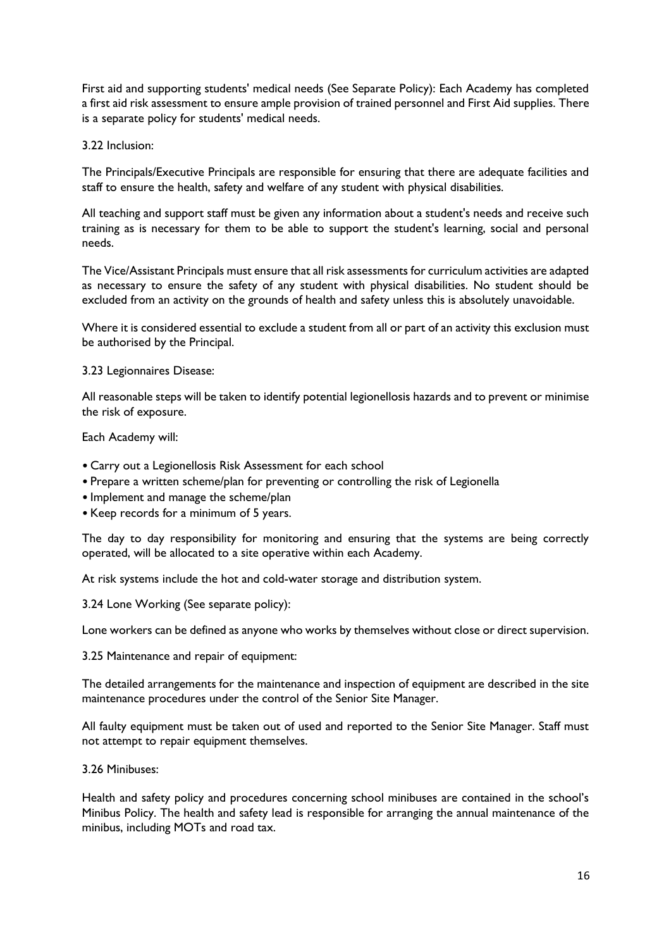First aid and supporting students' medical needs (See Separate Policy): Each Academy has completed a first aid risk assessment to ensure ample provision of trained personnel and First Aid supplies. There is a separate policy for students' medical needs.

#### 3.22 Inclusion:

The Principals/Executive Principals are responsible for ensuring that there are adequate facilities and staff to ensure the health, safety and welfare of any student with physical disabilities.

All teaching and support staff must be given any information about a student's needs and receive such training as is necessary for them to be able to support the student's learning, social and personal needs.

The Vice/Assistant Principals must ensure that all risk assessments for curriculum activities are adapted as necessary to ensure the safety of any student with physical disabilities. No student should be excluded from an activity on the grounds of health and safety unless this is absolutely unavoidable.

Where it is considered essential to exclude a student from all or part of an activity this exclusion must be authorised by the Principal.

3.23 Legionnaires Disease:

All reasonable steps will be taken to identify potential legionellosis hazards and to prevent or minimise the risk of exposure.

Each Academy will:

- Carry out a Legionellosis Risk Assessment for each school
- Prepare a written scheme/plan for preventing or controlling the risk of Legionella
- Implement and manage the scheme/plan
- Keep records for a minimum of 5 years.

The day to day responsibility for monitoring and ensuring that the systems are being correctly operated, will be allocated to a site operative within each Academy.

At risk systems include the hot and cold-water storage and distribution system.

3.24 Lone Working (See separate policy):

Lone workers can be defined as anyone who works by themselves without close or direct supervision.

3.25 Maintenance and repair of equipment:

The detailed arrangements for the maintenance and inspection of equipment are described in the site maintenance procedures under the control of the Senior Site Manager.

All faulty equipment must be taken out of used and reported to the Senior Site Manager. Staff must not attempt to repair equipment themselves.

3.26 Minibuses:

Health and safety policy and procedures concerning school minibuses are contained in the school's Minibus Policy. The health and safety lead is responsible for arranging the annual maintenance of the minibus, including MOTs and road tax.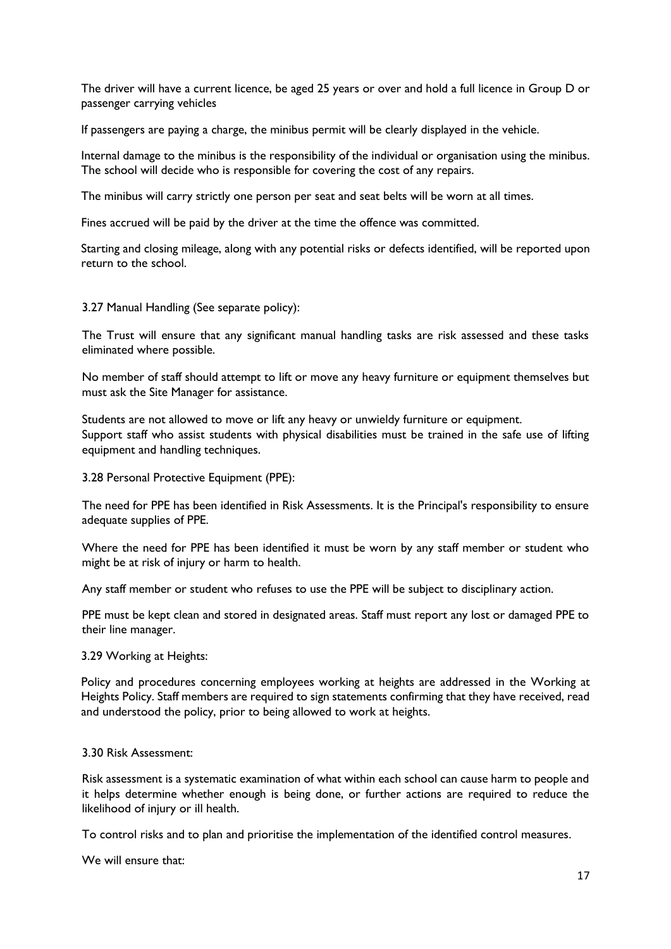The driver will have a current licence, be aged 25 years or over and hold a full licence in Group D or passenger carrying vehicles

If passengers are paying a charge, the minibus permit will be clearly displayed in the vehicle.

Internal damage to the minibus is the responsibility of the individual or organisation using the minibus. The school will decide who is responsible for covering the cost of any repairs.

The minibus will carry strictly one person per seat and seat belts will be worn at all times.

Fines accrued will be paid by the driver at the time the offence was committed.

Starting and closing mileage, along with any potential risks or defects identified, will be reported upon return to the school.

3.27 Manual Handling (See separate policy):

The Trust will ensure that any significant manual handling tasks are risk assessed and these tasks eliminated where possible.

No member of staff should attempt to lift or move any heavy furniture or equipment themselves but must ask the Site Manager for assistance.

Students are not allowed to move or lift any heavy or unwieldy furniture or equipment. Support staff who assist students with physical disabilities must be trained in the safe use of lifting equipment and handling techniques.

3.28 Personal Protective Equipment (PPE):

The need for PPE has been identified in Risk Assessments. It is the Principal's responsibility to ensure adequate supplies of PPE.

Where the need for PPE has been identified it must be worn by any staff member or student who might be at risk of injury or harm to health.

Any staff member or student who refuses to use the PPE will be subject to disciplinary action.

PPE must be kept clean and stored in designated areas. Staff must report any lost or damaged PPE to their line manager.

3.29 Working at Heights:

Policy and procedures concerning employees working at heights are addressed in the Working at Heights Policy. Staff members are required to sign statements confirming that they have received, read and understood the policy, prior to being allowed to work at heights.

#### 3.30 Risk Assessment:

Risk assessment is a systematic examination of what within each school can cause harm to people and it helps determine whether enough is being done, or further actions are required to reduce the likelihood of injury or ill health.

To control risks and to plan and prioritise the implementation of the identified control measures.

We will ensure that: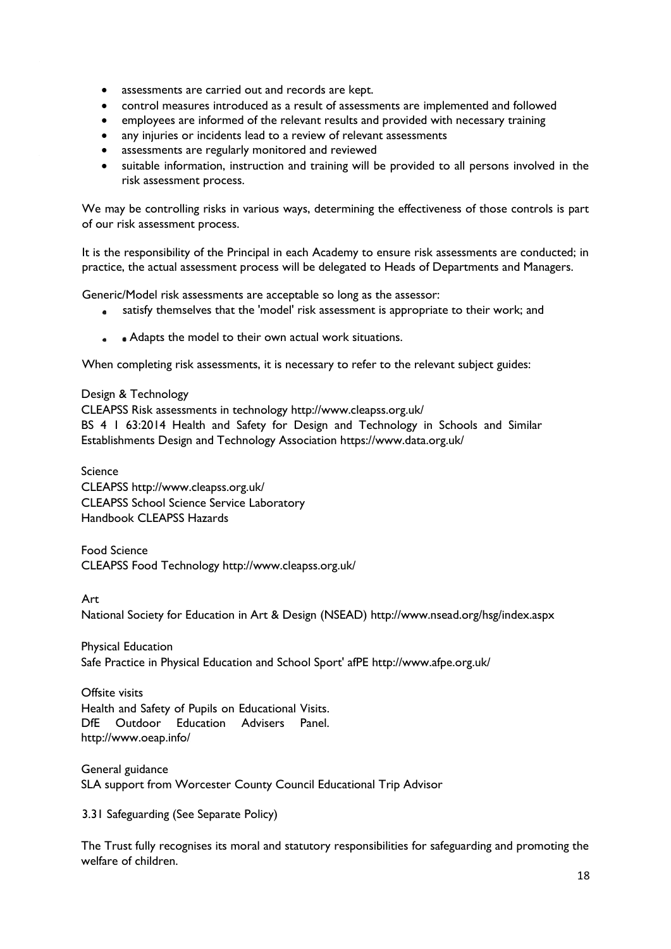- assessments are carried out and records are kept.
- control measures introduced as a result of assessments are implemented and followed
- employees are informed of the relevant results and provided with necessary training
- any injuries or incidents lead to a review of relevant assessments
- assessments are regularly monitored and reviewed
- suitable information, instruction and training will be provided to all persons involved in the risk assessment process.

We may be controlling risks in various ways, determining the effectiveness of those controls is part of our risk assessment process.

It is the responsibility of the Principal in each Academy to ensure risk assessments are conducted; in practice, the actual assessment process will be delegated to Heads of Departments and Managers.

Generic/Model risk assessments are acceptable so long as the assessor:

- satisfy themselves that the 'model' risk assessment is appropriate to their work; and  $\bullet$
- Adapts the model to their own actual work situations.

When completing risk assessments, it is necessary to refer to the relevant subject guides:

#### Design & Technology

CLEAPSS Risk assessments in technology http://www.cleapss.org.uk/ BS 4 1 63:2014 Health and Safety for Design and Technology in Schools and Similar Establishments Design and Technology Association https://www.data.org.uk/

Science CLEAPSS http://www.cleapss.org.uk/ CLEAPSS School Science Service Laboratory Handbook CLEAPSS Hazards

Food Science CLEAPSS Food Technology http://www.cleapss.org.uk/

Art

National Society for Education in Art & Design (NSEAD) http://www.nsead.org/hsg/index.aspx

Physical Education Safe Practice in Physical Education and School Sport' afPE http://www.afpe.org.uk/

Offsite visits Health and Safety of Pupils on Educational Visits. DfE Outdoor Education Advisers Panel. http://www.oeap.info/

General guidance SLA support from Worcester County Council Educational Trip Advisor

3.31 Safeguarding (See Separate Policy)

The Trust fully recognises its moral and statutory responsibilities for safeguarding and promoting the welfare of children.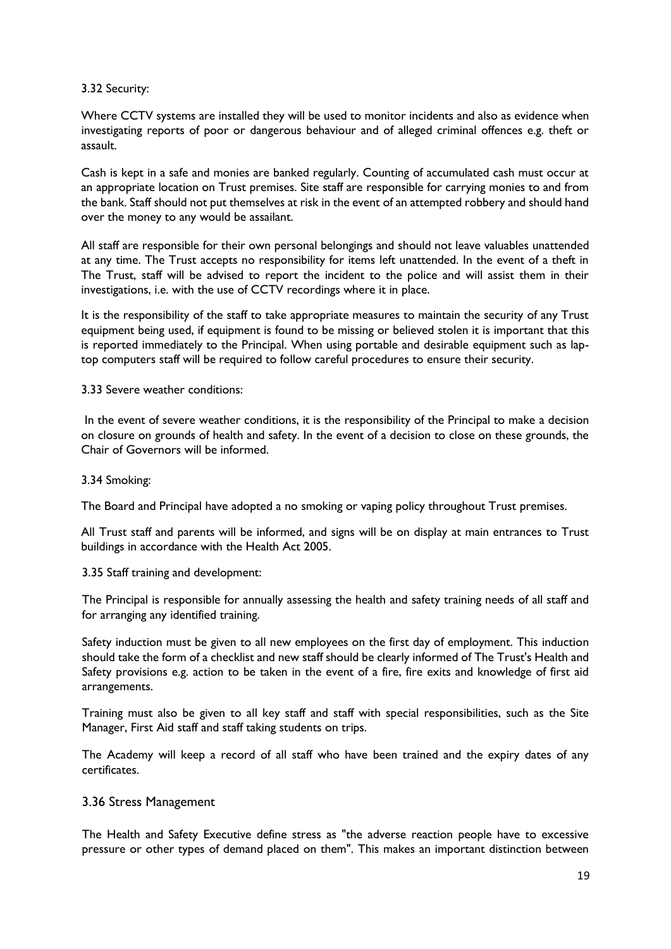#### 3.32 Security:

Where CCTV systems are installed they will be used to monitor incidents and also as evidence when investigating reports of poor or dangerous behaviour and of alleged criminal offences e.g. theft or assault.

Cash is kept in a safe and monies are banked regularly. Counting of accumulated cash must occur at an appropriate location on Trust premises. Site staff are responsible for carrying monies to and from the bank. Staff should not put themselves at risk in the event of an attempted robbery and should hand over the money to any would be assailant.

All staff are responsible for their own personal belongings and should not leave valuables unattended at any time. The Trust accepts no responsibility for items left unattended. In the event of a theft in The Trust, staff will be advised to report the incident to the police and will assist them in their investigations, i.e. with the use of CCTV recordings where it in place.

It is the responsibility of the staff to take appropriate measures to maintain the security of any Trust equipment being used, if equipment is found to be missing or believed stolen it is important that this is reported immediately to the Principal. When using portable and desirable equipment such as laptop computers staff will be required to follow careful procedures to ensure their security.

#### 3.33 Severe weather conditions:

In the event of severe weather conditions, it is the responsibility of the Principal to make a decision on closure on grounds of health and safety. In the event of a decision to close on these grounds, the Chair of Governors will be informed.

#### 3.34 Smoking:

The Board and Principal have adopted a no smoking or vaping policy throughout Trust premises.

All Trust staff and parents will be informed, and signs will be on display at main entrances to Trust buildings in accordance with the Health Act 2005.

# 3.35 Staff training and development:

The Principal is responsible for annually assessing the health and safety training needs of all staff and for arranging any identified training.

Safety induction must be given to all new employees on the first day of employment. This induction should take the form of a checklist and new staff should be clearly informed of The Trust's Health and Safety provisions e.g. action to be taken in the event of a fire, fire exits and knowledge of first aid arrangements.

Training must also be given to all key staff and staff with special responsibilities, such as the Site Manager, First Aid staff and staff taking students on trips.

The Academy will keep a record of all staff who have been trained and the expiry dates of any certificates.

# 3.36 Stress Management

The Health and Safety Executive define stress as "the adverse reaction people have to excessive pressure or other types of demand placed on them". This makes an important distinction between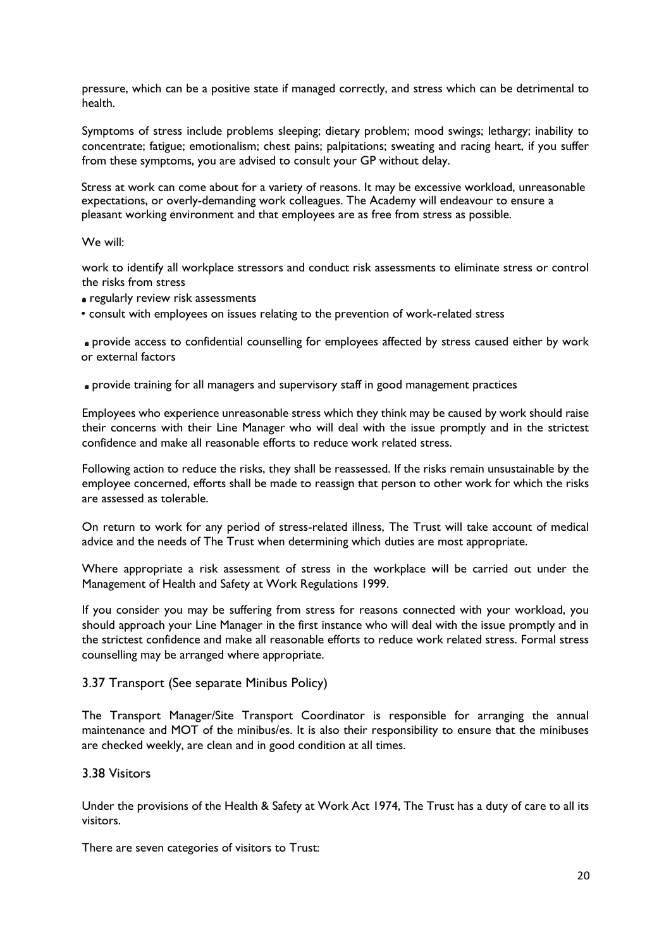pressure, which can be a positive state if managed correctly, and stress which can be detrimental to health.

Symptoms of stress include problems sleeping; dietary problem; mood swings; lethargy; inability to concentrate; fatigue; emotionalism; chest pains; palpitations; sweating and racing heart, if you suffer from these symptoms, you are advised to consult your GP without delay.

Stress at work can come about for a variety of reasons. It may be excessive workload, unreasonable expectations, or overly-demanding work colleagues. The Academy will endeavour to ensure a pleasant working environment and that employees are as free from stress as possible.

#### We will:

work to identify all workplace stressors and conduct risk assessments to eliminate stress or control the risks from stress

- regularly review risk assessments
- consult with employees on issues relating to the prevention of work-related stress

provide access to confidential counselling for employees affected by stress caused either by work or external factors

provide training for all managers and supervisory staff in good management practices

Employees who experience unreasonable stress which they think may be caused by work should raise their concerns with their Line Manager who will deal with the issue promptly and in the strictest confidence and make all reasonable efforts to reduce work related stress.

Following action to reduce the risks, they shall be reassessed. If the risks remain unsustainable by the employee concerned, efforts shall be made to reassign that person to other work for which the risks are assessed as tolerable.

On return to work for any period of stress-related illness, The Trust will take account of medical advice and the needs of The Trust when determining which duties are most appropriate.

Where appropriate a risk assessment of stress in the workplace will be carried out under the Management of Health and Safety at Work Regulations 1999.

If you consider you may be suffering from stress for reasons connected with your workload, you should approach your Line Manager in the first instance who will deal with the issue promptly and in the strictest confidence and make all reasonable efforts to reduce work related stress. Formal stress counselling may be arranged where appropriate.

#### 3.37 Transport (See separate Minibus Policy)

The Transport Manager/Site Transport Coordinator is responsible for arranging the annual maintenance and MOT of the minibus/es. It is also their responsibility to ensure that the minibuses are checked weekly, are clean and in good condition at all times.

#### 3.38 Visitors

Under the provisions of the Health & Safety at Work Act 1974, The Trust has a duty of care to all its visitors.

There are seven categories of visitors to Trust: